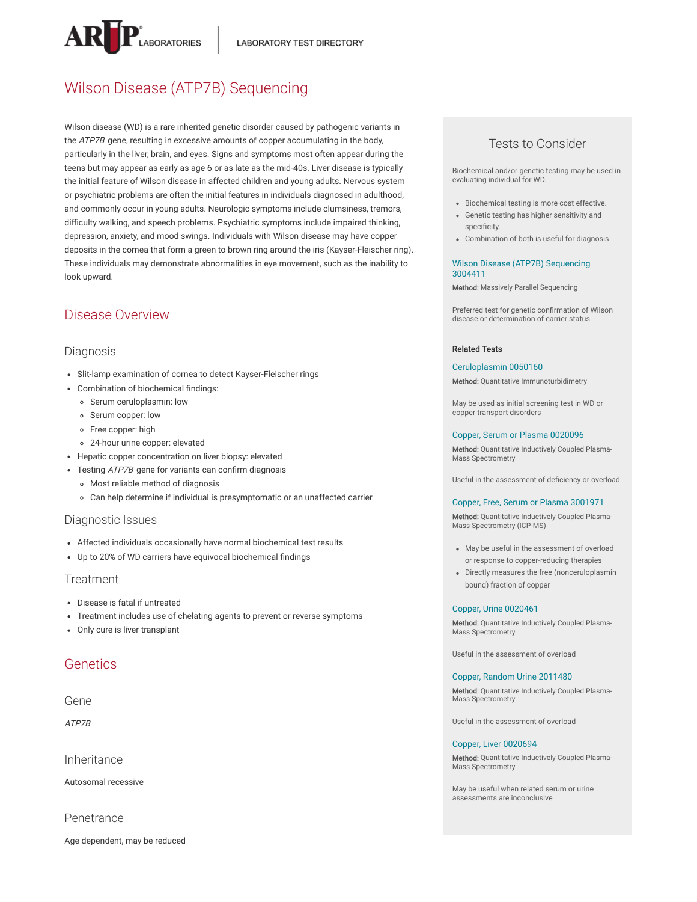

# Wilson Disease (ATP7B) Sequencing

Wilson disease (WD) is a rare inherited genetic disorder caused by pathogenic variants in the *ATP7B* gene, resulting in excessive amounts of copper accumulating in the body, particularly in the liver, brain, and eyes. Signs and symptoms most often appear during the teens but may appear as early as age 6 or as late as the mid-40s. Liver disease is typically the initial feature of Wilson disease in affected children and young adults. Nervous system or psychiatric problems are often the initial features in individuals diagnosed in adulthood, and commonly occur in young adults. Neurologic symptoms include clumsiness, tremors, difficulty walking, and speech problems. Psychiatric symptoms include impaired thinking, depression, anxiety, and mood swings. Individuals with Wilson disease may have copper deposits in the cornea that form a green to brown ring around the iris (Kayser-Fleischer ring). These individuals may demonstrate abnormalities in eye movement, such as the inability to look upward.

## Disease Overview

### Diagnosis

- Slit-lamp examination of cornea to detect Kayser-Fleischer rings
- Combination of biochemical findings:
	- Serum ceruloplasmin: low
	- o Serum copper: low
	- Free copper: high
	- 24-hour urine copper: elevated
- Hepatic copper concentration on liver biopsy: elevated
- Testing ATP7B gene for variants can confirm diagnosis
- Most reliable method of diagnosis
- Can help determine if individual is presymptomatic or an unaffected carrier

### Diagnostic Issues

- Affected individuals occasionally have normal biochemical test results
- Up to 20% of WD carriers have equivocal biochemical findings

### **Treatment**

- Disease is fatal if untreated
- Treatment includes use of chelating agents to prevent or reverse symptoms
- Only cure is liver transplant

## **Genetics**

### Gene

ATP7B

Inheritance

Autosomal recessive

Penetrance

Age dependent, may be reduced

## Tests to Consider

Biochemical and/or genetic testing may be used in evaluating individual for WD.

- Biochemical testing is more cost effective.
- Genetic testing has higher sensitivity and specificity.
- Combination of both is useful for diagnosis

#### Wilson Disease (ATP7B) [Sequencing](https://ltd.aruplab.com/Tests/Pub/3004411) 3004411

Method: Massively Parallel Sequencing

Preferred test for genetic confirmation of Wilson disease or determination of carrier status

#### Related Tests

#### [Ceruloplasmin](https://ltd.aruplab.com/Tests/Pub/0050160) 0050160

Method: Quantitative Immunoturbidimetry

May be used as initial screening test in WD or copper transport disorders

#### Copper, Serum or Plasma [0020096](https://ltd.aruplab.com/Tests/Pub/0020096)

Method: Quantitative Inductively Coupled Plasma-Mass Spectrometry

Useful in the assessment of deficiency or overload

#### Copper, Free, Serum or Plasma [3001971](https://ltd.aruplab.com/Tests/Pub/3001971)

Method: Quantitative Inductively Coupled Plasma-Mass Spectrometry (ICP-MS)

- May be useful in the assessment of overload or response to copper-reducing therapies
- Directly measures the free (nonceruloplasmin bound) fraction of copper

#### Copper, Urine [0020461](https://ltd.aruplab.com/Tests/Pub/0020461)

Method: Quantitative Inductively Coupled Plasma-Mass Spectrometry

Useful in the assessment of overload

#### Copper, Random Urine [2011480](https://ltd.aruplab.com/Tests/Pub/2011480)

Method: Quantitative Inductively Coupled Plasma- Mass Spectrometry

Useful in the assessment of overload

#### Copper, Liver [0020694](https://ltd.aruplab.com/Tests/Pub/0020694)

Method: Quantitative Inductively Coupled Plasma-Mass Spectrometry

May be useful when related serum or urine assessments are inconclusive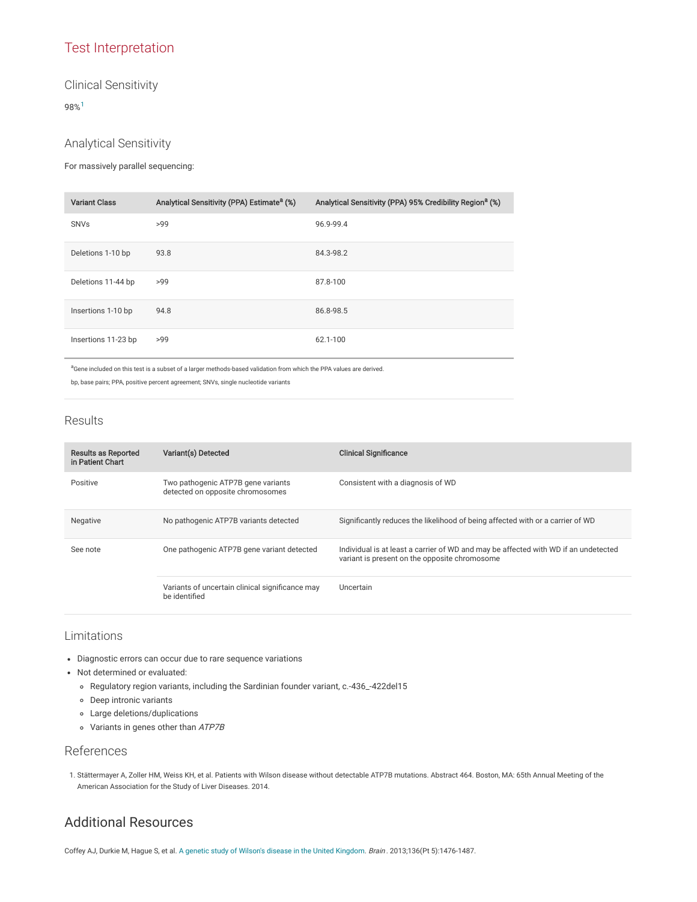## Test Interpretation

## Clinical Sensitivity

98% [1](#page-1-0)

## Analytical Sensitivity

For massively parallel sequencing:

| <b>Variant Class</b> | Analytical Sensitivity (PPA) Estimate <sup>a</sup> (%) | Analytical Sensitivity (PPA) 95% Credibility Region <sup>a</sup> (%) |
|----------------------|--------------------------------------------------------|----------------------------------------------------------------------|
| <b>SNVs</b>          | >99                                                    | 96.9-99.4                                                            |
| Deletions 1-10 bp    | 93.8                                                   | 84.3-98.2                                                            |
| Deletions 11-44 bp   | >99                                                    | 87.8-100                                                             |
| Insertions 1-10 bp   | 94.8                                                   | 86.8-98.5                                                            |
| Insertions 11-23 bp  | >99                                                    | 62.1-100                                                             |

aGene included on this test is a subset of a larger methods-based validation from which the PPA values are derived.

bp, base pairs; PPA, positive percent agreement; SNVs, single nucleotide variants

## Results

| <b>Results as Reported</b><br>in Patient Chart | Variant(s) Detected                                                    | <b>Clinical Significance</b>                                                                                                         |
|------------------------------------------------|------------------------------------------------------------------------|--------------------------------------------------------------------------------------------------------------------------------------|
| Positive                                       | Two pathogenic ATP7B gene variants<br>detected on opposite chromosomes | Consistent with a diagnosis of WD                                                                                                    |
| Negative                                       | No pathogenic ATP7B variants detected                                  | Significantly reduces the likelihood of being affected with or a carrier of WD                                                       |
| See note                                       | One pathogenic ATP7B gene variant detected                             | Individual is at least a carrier of WD and may be affected with WD if an undetected<br>variant is present on the opposite chromosome |
|                                                | Variants of uncertain clinical significance may<br>be identified       | Uncertain                                                                                                                            |

## Limitations

- Diagnostic errors can occur due to rare sequence variations
- Not determined or evaluated:
	- Regulatory region variants, including the Sardinian founder variant, c.-436\_-422del15
	- Deep intronic variants
	- Large deletions/duplications
	- Variants in genes other than ATP7B

## References

<span id="page-1-0"></span>1. Stättermayer A, Zoller HM, Weiss KH, et al. Patients with Wilson disease without detectable ATP7B mutations. Abstract 464. Boston, MA: 65th Annual Meeting of the American Association for the Study of Liver Diseases. 2014.

## Additional Resources

Coffey AJ, Durkie M, Hague S, et al. A genetic study of Wilson's disease in the United [Kingdom](https://www.ncbi.nlm.nih.gov/pubmed/23518715). Brain. 2013;136(Pt 5):1476-1487.